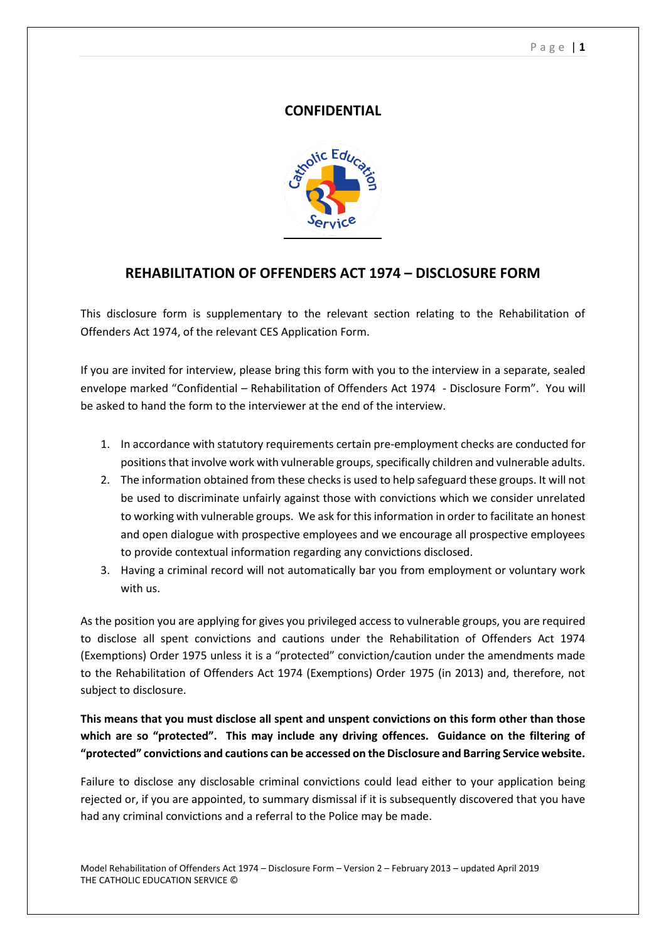## **CONFIDENTIAL**



# **REHABILITATION OF OFFENDERS ACT 1974 – DISCLOSURE FORM**

This disclosure form is supplementary to the relevant section relating to the Rehabilitation of Offenders Act 1974, of the relevant CES Application Form.

If you are invited for interview, please bring this form with you to the interview in a separate, sealed envelope marked "Confidential – Rehabilitation of Offenders Act 1974 - Disclosure Form". You will be asked to hand the form to the interviewer at the end of the interview.

- 1. In accordance with statutory requirements certain pre-employment checks are conducted for positions that involve work with vulnerable groups, specifically children and vulnerable adults.
- 2. The information obtained from these checks is used to help safeguard these groups. It will not be used to discriminate unfairly against those with convictions which we consider unrelated to working with vulnerable groups. We ask for this information in order to facilitate an honest and open dialogue with prospective employees and we encourage all prospective employees to provide contextual information regarding any convictions disclosed.
- 3. Having a criminal record will not automatically bar you from employment or voluntary work with us.

As the position you are applying for gives you privileged access to vulnerable groups, you are required to disclose all spent convictions and cautions under the Rehabilitation of Offenders Act 1974 (Exemptions) Order 1975 unless it is a "protected" conviction/caution under the amendments made to the Rehabilitation of Offenders Act 1974 (Exemptions) Order 1975 (in 2013) and, therefore, not subject to disclosure.

## **This means that you must disclose all spent and unspent convictions on this form other than those which are so "protected". This may include any driving offences. Guidance on the filtering of "protected" convictions and cautions can be accessed on the Disclosure and Barring Service website.**

Failure to disclose any disclosable criminal convictions could lead either to your application being rejected or, if you are appointed, to summary dismissal if it is subsequently discovered that you have had any criminal convictions and a referral to the Police may be made.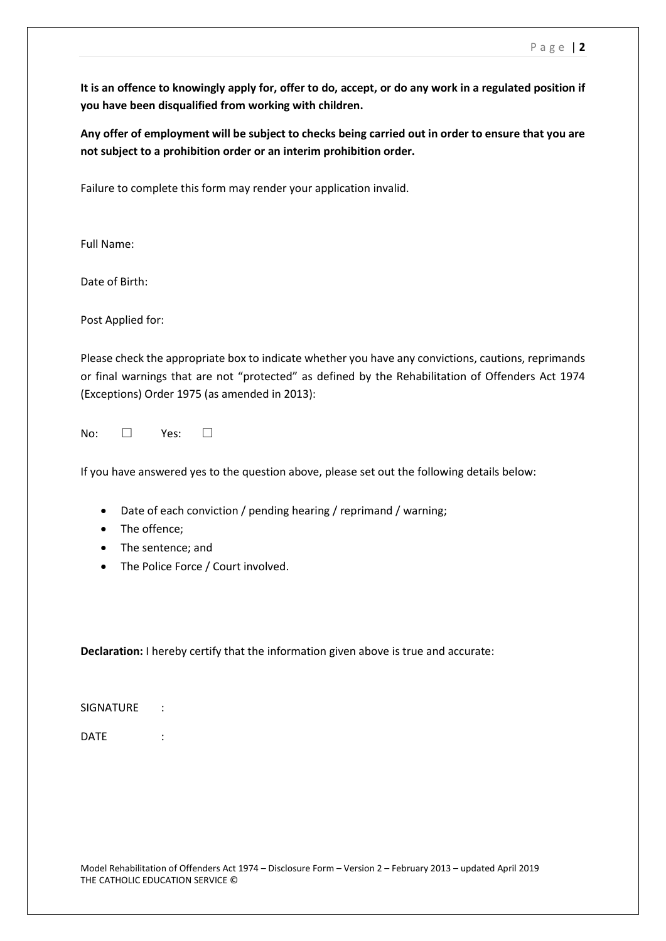**It is an offence to knowingly apply for, offer to do, accept, or do any work in a regulated position if you have been disqualified from working with children.** 

**Any offer of employment will be subject to checks being carried out in order to ensure that you are not subject to a prohibition order or an interim prohibition order.**

Failure to complete this form may render your application invalid.

Full Name:

Date of Birth:

Post Applied for:

Please check the appropriate box to indicate whether you have any convictions, cautions, reprimands or final warnings that are not "protected" as defined by the Rehabilitation of Offenders Act 1974 (Exceptions) Order 1975 (as amended in 2013):

No: □ Yes: □

If you have answered yes to the question above, please set out the following details below:

- Date of each conviction / pending hearing / reprimand / warning;
- The offence;
- The sentence; and
- The Police Force / Court involved.

**Declaration:** I hereby certify that the information given above is true and accurate:

SIGNATURE :

DATE :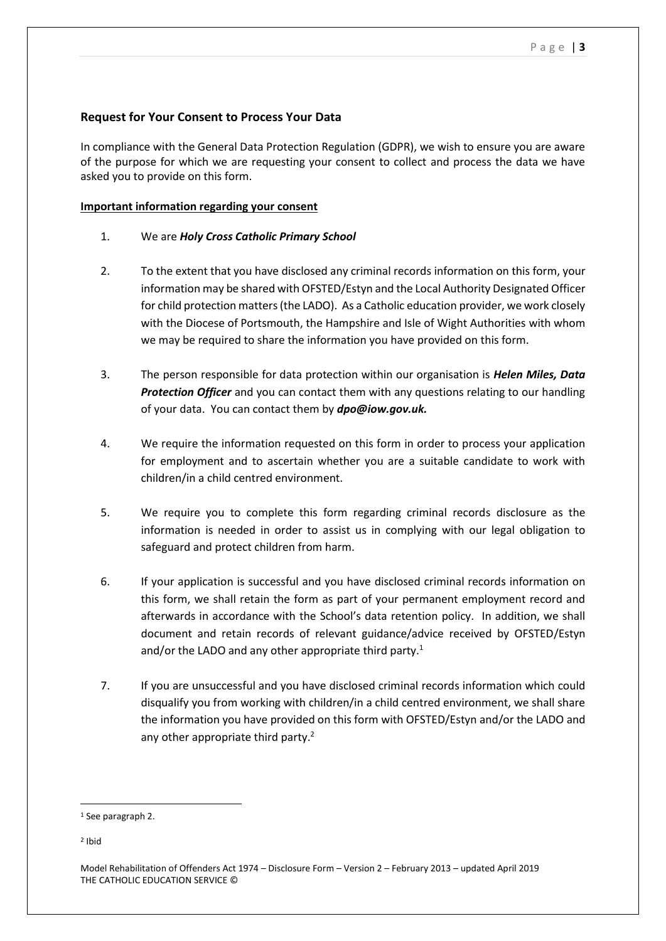## **Request for Your Consent to Process Your Data**

In compliance with the General Data Protection Regulation (GDPR), we wish to ensure you are aware of the purpose for which we are requesting your consent to collect and process the data we have asked you to provide on this form.

#### **Important information regarding your consent**

### 1. We are *Holy Cross Catholic Primary School*

- 2. To the extent that you have disclosed any criminal records information on this form, your information may be shared with OFSTED/Estyn and the Local Authority Designated Officer for child protection matters (the LADO). As a Catholic education provider, we work closely with the Diocese of Portsmouth, the Hampshire and Isle of Wight Authorities with whom we may be required to share the information you have provided on this form.
- 3. The person responsible for data protection within our organisation is *Helen Miles, Data Protection Officer* and you can contact them with any questions relating to our handling of your data. You can contact them by *dpo@iow.gov.uk.*
- 4. We require the information requested on this form in order to process your application for employment and to ascertain whether you are a suitable candidate to work with children/in a child centred environment.
- 5. We require you to complete this form regarding criminal records disclosure as the information is needed in order to assist us in complying with our legal obligation to safeguard and protect children from harm.
- 6. If your application is successful and you have disclosed criminal records information on this form, we shall retain the form as part of your permanent employment record and afterwards in accordance with the School's data retention policy. In addition, we shall document and retain records of relevant guidance/advice received by OFSTED/Estyn and/or the LADO and any other appropriate third party.<sup>1</sup>
- 7. If you are unsuccessful and you have disclosed criminal records information which could disqualify you from working with children/in a child centred environment, we shall share the information you have provided on this form with OFSTED/Estyn and/or the LADO and any other appropriate third party.<sup>2</sup>

**.** 

<sup>&</sup>lt;sup>1</sup> See paragraph 2.

<sup>2</sup> Ibid

Model Rehabilitation of Offenders Act 1974 – Disclosure Form – Version 2 – February 2013 – updated April 2019 THE CATHOLIC EDUCATION SERVICE ©